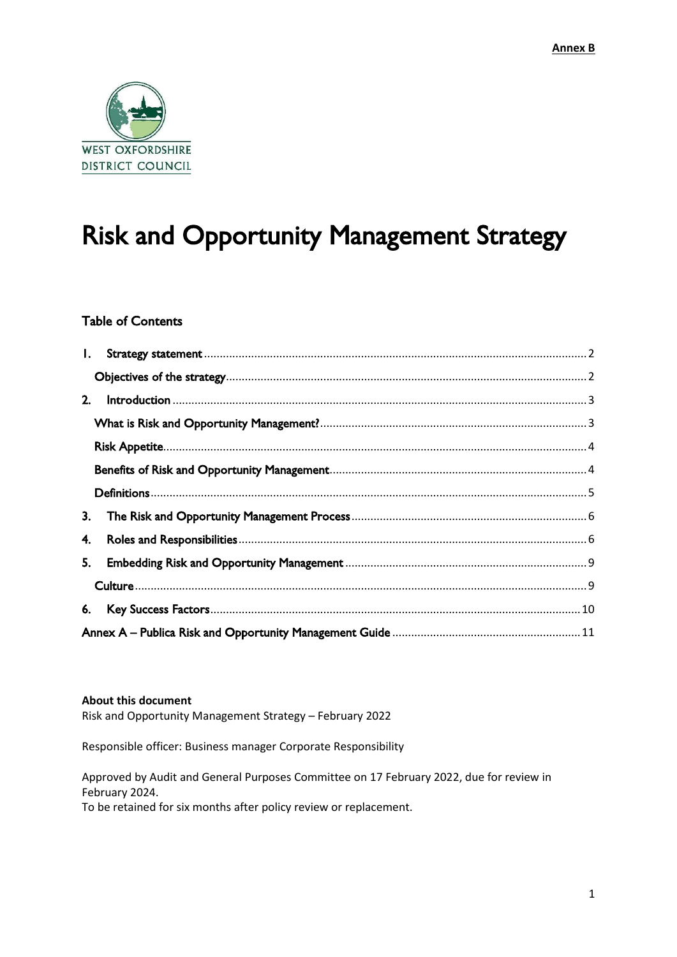

# Risk and Opportunity Management Strategy

#### Table of Contents

| 2. |  |
|----|--|
|    |  |
|    |  |
|    |  |
|    |  |
| 3. |  |
| 4. |  |
| 5. |  |
|    |  |
| 6. |  |
|    |  |

#### **About this document**

Risk and Opportunity Management Strategy – February 2022

Responsible officer: Business manager Corporate Responsibility

Approved by Audit and General Purposes Committee on 17 February 2022, due for review in February 2024.

To be retained for six months after policy review or replacement.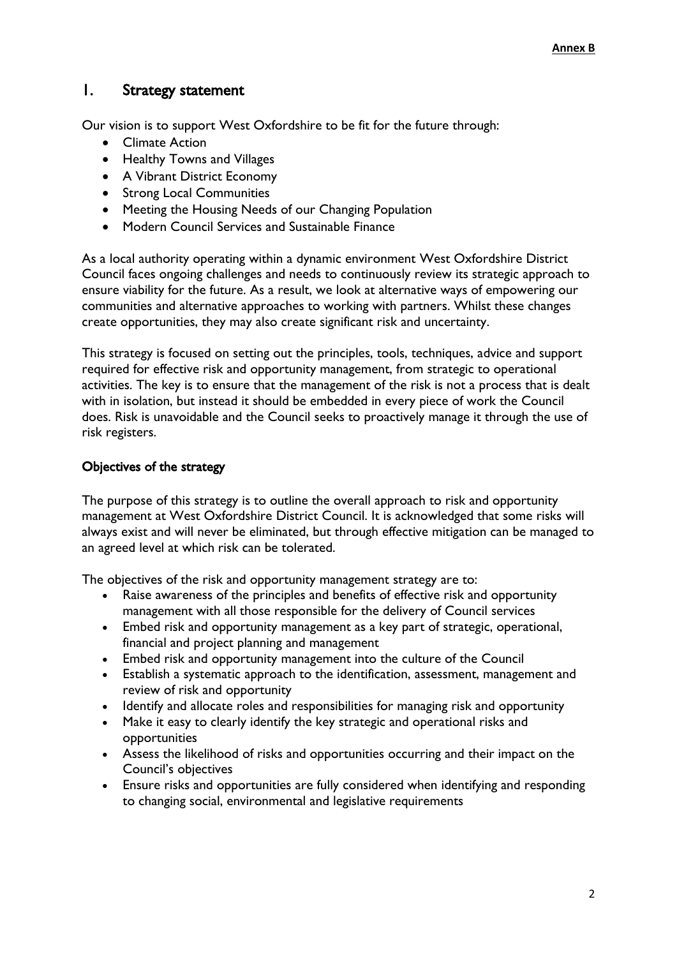#### <span id="page-1-0"></span>1. Strategy statement

Our vision is to support West Oxfordshire to be fit for the future through:

- Climate Action
- Healthy Towns and Villages
- A Vibrant District Economy
- Strong Local Communities
- Meeting the Housing Needs of our Changing Population
- Modern Council Services and Sustainable Finance

As a local authority operating within a dynamic environment West Oxfordshire District Council faces ongoing challenges and needs to continuously review its strategic approach to ensure viability for the future. As a result, we look at alternative ways of empowering our communities and alternative approaches to working with partners. Whilst these changes create opportunities, they may also create significant risk and uncertainty.

This strategy is focused on setting out the principles, tools, techniques, advice and support required for effective risk and opportunity management, from strategic to operational activities. The key is to ensure that the management of the risk is not a process that is dealt with in isolation, but instead it should be embedded in every piece of work the Council does. Risk is unavoidable and the Council seeks to proactively manage it through the use of risk registers.

#### <span id="page-1-1"></span>Objectives of the strategy

The purpose of this strategy is to outline the overall approach to risk and opportunity management at West Oxfordshire District Council. It is acknowledged that some risks will always exist and will never be eliminated, but through effective mitigation can be managed to an agreed level at which risk can be tolerated.

The objectives of the risk and opportunity management strategy are to:

- Raise awareness of the principles and benefits of effective risk and opportunity management with all those responsible for the delivery of Council services
- Embed risk and opportunity management as a key part of strategic, operational, financial and project planning and management
- Embed risk and opportunity management into the culture of the Council
- Establish a systematic approach to the identification, assessment, management and review of risk and opportunity
- Identify and allocate roles and responsibilities for managing risk and opportunity
- Make it easy to clearly identify the key strategic and operational risks and opportunities
- Assess the likelihood of risks and opportunities occurring and their impact on the Council's objectives
- Ensure risks and opportunities are fully considered when identifying and responding to changing social, environmental and legislative requirements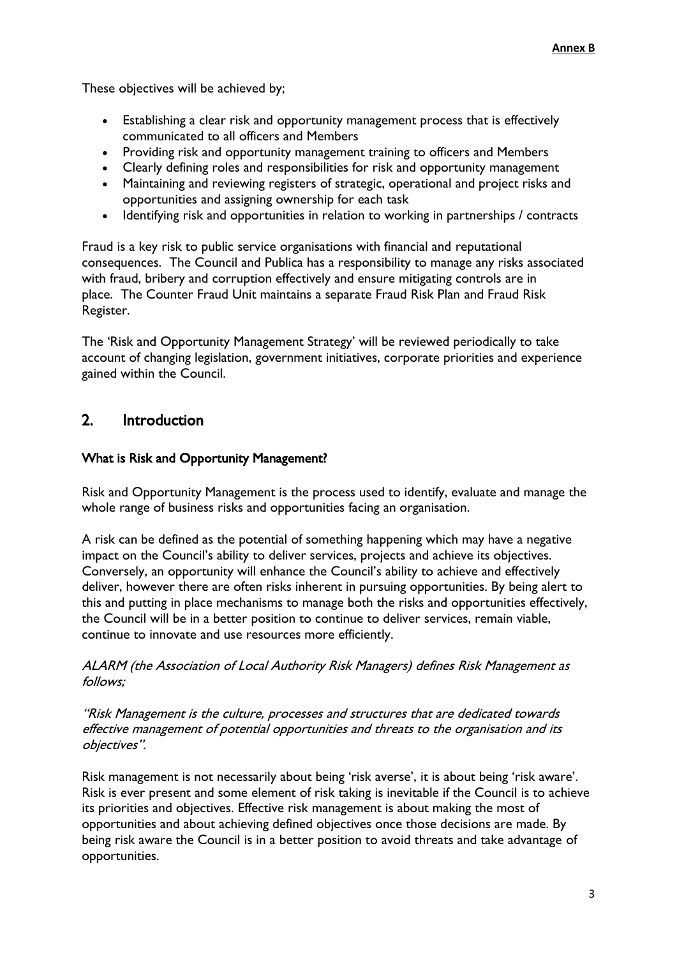These objectives will be achieved by;

- Establishing a clear risk and opportunity management process that is effectively communicated to all officers and Members
- Providing risk and opportunity management training to officers and Members
- Clearly defining roles and responsibilities for risk and opportunity management
- Maintaining and reviewing registers of strategic, operational and project risks and opportunities and assigning ownership for each task
- Identifying risk and opportunities in relation to working in partnerships / contracts

Fraud is a key risk to public service organisations with financial and reputational consequences. The Council and Publica has a responsibility to manage any risks associated with fraud, bribery and corruption effectively and ensure mitigating controls are in place. The Counter Fraud Unit maintains a separate Fraud Risk Plan and Fraud Risk Register.

The 'Risk and Opportunity Management Strategy' will be reviewed periodically to take account of changing legislation, government initiatives, corporate priorities and experience gained within the Council.

### <span id="page-2-0"></span>2. Introduction

#### <span id="page-2-1"></span>What is Risk and Opportunity Management?

Risk and Opportunity Management is the process used to identify, evaluate and manage the whole range of business risks and opportunities facing an organisation.

A risk can be defined as the potential of something happening which may have a negative impact on the Council's ability to deliver services, projects and achieve its objectives. Conversely, an opportunity will enhance the Council's ability to achieve and effectively deliver, however there are often risks inherent in pursuing opportunities. By being alert to this and putting in place mechanisms to manage both the risks and opportunities effectively, the Council will be in a better position to continue to deliver services, remain viable, continue to innovate and use resources more efficiently.

ALARM (the Association of Local Authority Risk Managers) defines Risk Management as follows;

"Risk Management is the culture, processes and structures that are dedicated towards effective management of potential opportunities and threats to the organisation and its objectives".

Risk management is not necessarily about being 'risk averse', it is about being 'risk aware'. Risk is ever present and some element of risk taking is inevitable if the Council is to achieve its priorities and objectives. Effective risk management is about making the most of opportunities and about achieving defined objectives once those decisions are made. By being risk aware the Council is in a better position to avoid threats and take advantage of opportunities.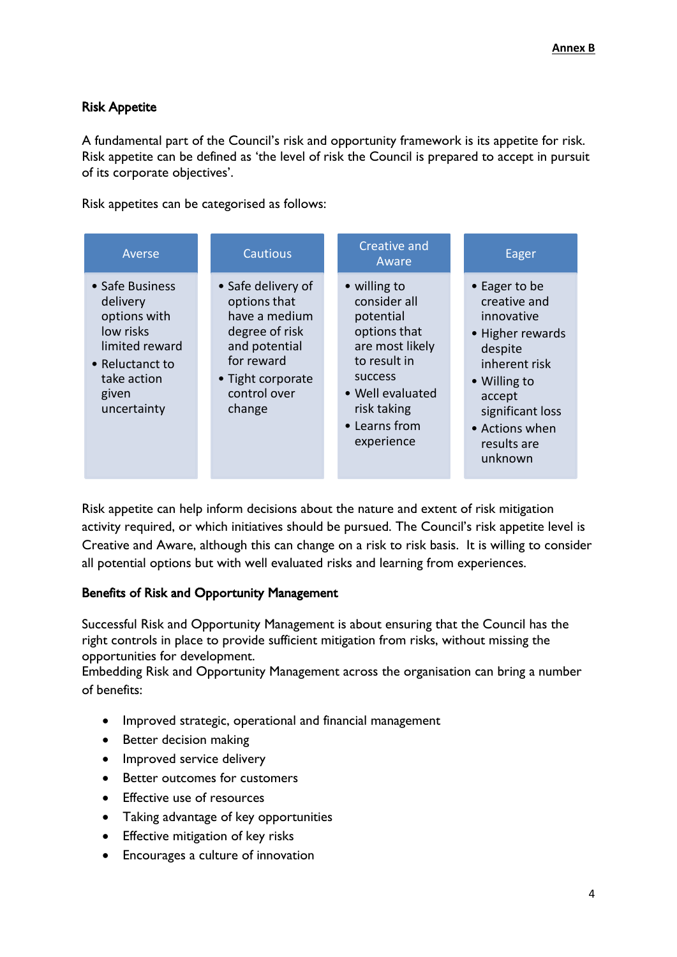#### <span id="page-3-0"></span>Risk Appetite

A fundamental part of the Council's risk and opportunity framework is its appetite for risk. Risk appetite can be defined as 'the level of risk the Council is prepared to accept in pursuit of its corporate objectives'.

Risk appetites can be categorised as follows:

| Averse                                                                                                                               | <b>Cautious</b>                                                                                                                                     | Creative and<br>Aware                                                                                                                                                            | Eager                                                                                                                                                                                 |
|--------------------------------------------------------------------------------------------------------------------------------------|-----------------------------------------------------------------------------------------------------------------------------------------------------|----------------------------------------------------------------------------------------------------------------------------------------------------------------------------------|---------------------------------------------------------------------------------------------------------------------------------------------------------------------------------------|
| • Safe Business<br>delivery<br>options with<br>low risks<br>limited reward<br>• Reluctanct to<br>take action<br>given<br>uncertainty | • Safe delivery of<br>options that<br>have a medium<br>degree of risk<br>and potential<br>for reward<br>• Tight corporate<br>control over<br>change | • willing to<br>consider all<br>potential<br>options that<br>are most likely<br>to result in<br><b>SUCCESS</b><br>• Well evaluated<br>risk taking<br>• Learns from<br>experience | • Eager to be<br>creative and<br>innovative<br>• Higher rewards<br>despite<br>inherent risk<br>• Willing to<br>accept<br>significant loss<br>• Actions when<br>results are<br>unknown |

Risk appetite can help inform decisions about the nature and extent of risk mitigation activity required, or which initiatives should be pursued. The Council's risk appetite level is Creative and Aware, although this can change on a risk to risk basis. It is willing to consider all potential options but with well evaluated risks and learning from experiences.

#### <span id="page-3-1"></span>Benefits of Risk and Opportunity Management

Successful Risk and Opportunity Management is about ensuring that the Council has the right controls in place to provide sufficient mitigation from risks, without missing the opportunities for development.

Embedding Risk and Opportunity Management across the organisation can bring a number of benefits:

- Improved strategic, operational and financial management
- Better decision making
- Improved service delivery
- Better outcomes for customers
- **•** Effective use of resources
- Taking advantage of key opportunities
- Effective mitigation of key risks
- Encourages a culture of innovation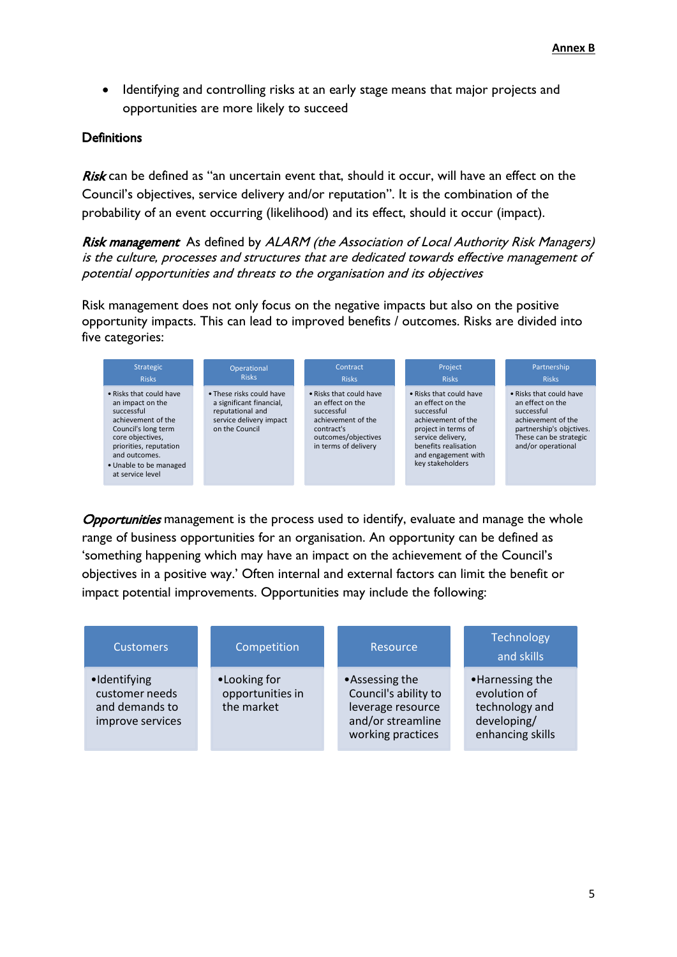Identifying and controlling risks at an early stage means that major projects and opportunities are more likely to succeed

#### <span id="page-4-0"></span>**Definitions**

Risk can be defined as "an uncertain event that, should it occur, will have an effect on the Council's objectives, service delivery and/or reputation". It is the combination of the probability of an event occurring (likelihood) and its effect, should it occur (impact).

Risk management As defined by ALARM (the Association of Local Authority Risk Managers) is the culture, processes and structures that are dedicated towards effective management of potential opportunities and threats to the organisation and its objectives

Risk management does not only focus on the negative impacts but also on the positive opportunity impacts. This can lead to improved benefits / outcomes. Risks are divided into five categories:



**Opportunities** management is the process used to identify, evaluate and manage the whole range of business opportunities for an organisation. An opportunity can be defined as 'something happening which may have an impact on the achievement of the Council's objectives in a positive way.' Often internal and external factors can limit the benefit or impact potential improvements. Opportunities may include the following:

<span id="page-4-1"></span>

| <b>Customers</b>                                                     | Competition                                    | Resource                                                                                              | Technology<br>and skills                                                             |
|----------------------------------------------------------------------|------------------------------------------------|-------------------------------------------------------------------------------------------------------|--------------------------------------------------------------------------------------|
| ·Identifying<br>customer needs<br>and demands to<br>improve services | •Looking for<br>opportunities in<br>the market | •Assessing the<br>Council's ability to<br>leverage resource<br>and/or streamline<br>working practices | •Harnessing the<br>evolution of<br>technology and<br>developing/<br>enhancing skills |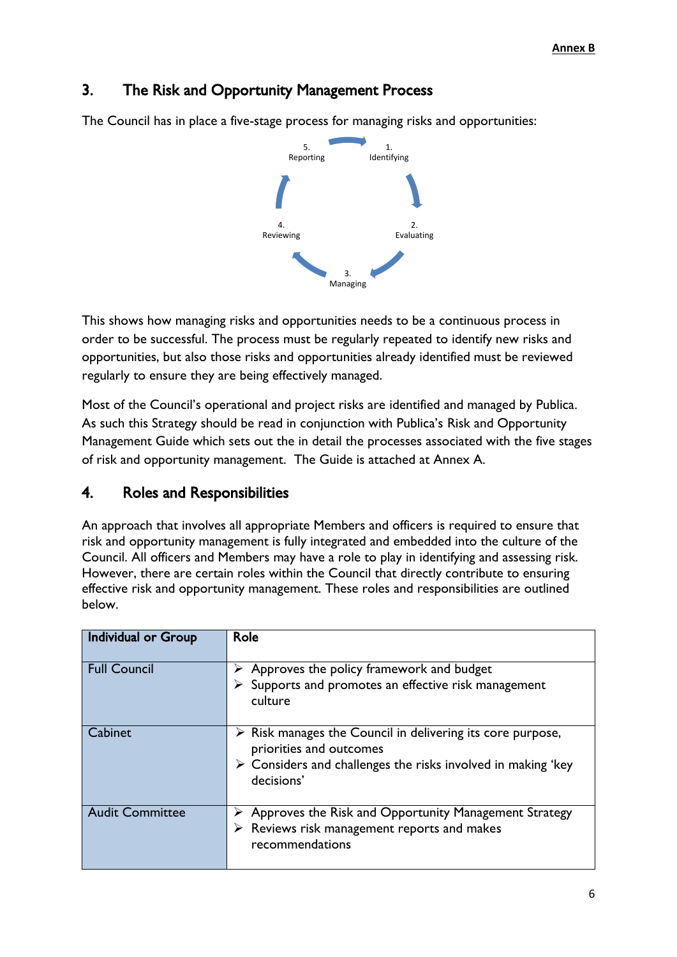## 3. The Risk and Opportunity Management Process

The Council has in place a five-stage process for managing risks and opportunities:



This shows how managing risks and opportunities needs to be a continuous process in order to be successful. The process must be regularly repeated to identify new risks and opportunities, but also those risks and opportunities already identified must be reviewed regularly to ensure they are being effectively managed.

Most of the Council's operational and project risks are identified and managed by Publica. As such this Strategy should be read in conjunction with Publica's Risk and Opportunity Management Guide which sets out the in detail the processes associated with the five stages of risk and opportunity management. The Guide is attached at Annex A.

## <span id="page-5-0"></span>4. Roles and Responsibilities

An approach that involves all appropriate Members and officers is required to ensure that risk and opportunity management is fully integrated and embedded into the culture of the Council. All officers and Members may have a role to play in identifying and assessing risk. However, there are certain roles within the Council that directly contribute to ensuring effective risk and opportunity management. These roles and responsibilities are outlined below.

| Individual or Group    | Role                                                                                                                                                                                              |
|------------------------|---------------------------------------------------------------------------------------------------------------------------------------------------------------------------------------------------|
| <b>Full Council</b>    | Approves the policy framework and budget<br>Supports and promotes an effective risk management<br>culture                                                                                         |
| Cabinet                | $\triangleright$ Risk manages the Council in delivering its core purpose,<br>priorities and outcomes<br>$\triangleright$ Considers and challenges the risks involved in making 'key<br>decisions' |
| <b>Audit Committee</b> | Approves the Risk and Opportunity Management Strategy<br>Reviews risk management reports and makes<br>recommendations                                                                             |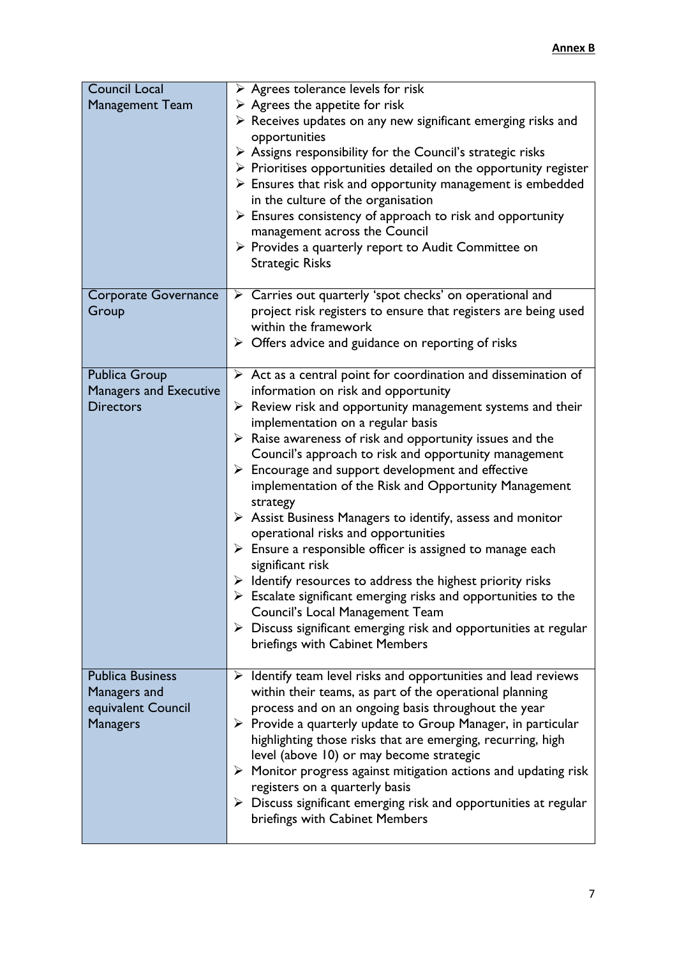| <b>Council Local</b><br><b>Management Team</b>                                   | $\triangleright$ Agrees tolerance levels for risk<br>$\triangleright$ Agrees the appetite for risk<br>$\triangleright$ Receives updates on any new significant emerging risks and<br>opportunities<br>$\triangleright$ Assigns responsibility for the Council's strategic risks<br>$\triangleright$ Prioritises opportunities detailed on the opportunity register<br>$\triangleright$ Ensures that risk and opportunity management is embedded<br>in the culture of the organisation<br>$\triangleright$ Ensures consistency of approach to risk and opportunity<br>management across the Council<br>$\triangleright$ Provides a quarterly report to Audit Committee on                                                                                                                                                                                                                                                                                                                                                                                      |
|----------------------------------------------------------------------------------|---------------------------------------------------------------------------------------------------------------------------------------------------------------------------------------------------------------------------------------------------------------------------------------------------------------------------------------------------------------------------------------------------------------------------------------------------------------------------------------------------------------------------------------------------------------------------------------------------------------------------------------------------------------------------------------------------------------------------------------------------------------------------------------------------------------------------------------------------------------------------------------------------------------------------------------------------------------------------------------------------------------------------------------------------------------|
| Corporate Governance<br>Group                                                    | <b>Strategic Risks</b><br>> Carries out quarterly 'spot checks' on operational and<br>project risk registers to ensure that registers are being used<br>within the framework<br>$\triangleright$ Offers advice and guidance on reporting of risks                                                                                                                                                                                                                                                                                                                                                                                                                                                                                                                                                                                                                                                                                                                                                                                                             |
| Publica Group<br>Managers and Executive<br><b>Directors</b>                      | $\triangleright$ Act as a central point for coordination and dissemination of<br>information on risk and opportunity<br>$\triangleright$ Review risk and opportunity management systems and their<br>implementation on a regular basis<br>$\triangleright$ Raise awareness of risk and opportunity issues and the<br>Council's approach to risk and opportunity management<br>$\triangleright$ Encourage and support development and effective<br>implementation of the Risk and Opportunity Management<br>strategy<br>$\triangleright$ Assist Business Managers to identify, assess and monitor<br>operational risks and opportunities<br>$\triangleright$ Ensure a responsible officer is assigned to manage each<br>significant risk<br>$\triangleright$ Identify resources to address the highest priority risks<br>$\triangleright$ Escalate significant emerging risks and opportunities to the<br>Council's Local Management Team<br>$\triangleright$ Discuss significant emerging risk and opportunities at regular<br>briefings with Cabinet Members |
| <b>Publica Business</b><br>Managers and<br>equivalent Council<br><b>Managers</b> | $\triangleright$ Identify team level risks and opportunities and lead reviews<br>within their teams, as part of the operational planning<br>process and on an ongoing basis throughout the year<br>$\triangleright$ Provide a quarterly update to Group Manager, in particular<br>highlighting those risks that are emerging, recurring, high<br>level (above 10) or may become strategic<br>$\triangleright$ Monitor progress against mitigation actions and updating risk<br>registers on a quarterly basis<br>$\triangleright$ Discuss significant emerging risk and opportunities at regular<br>briefings with Cabinet Members                                                                                                                                                                                                                                                                                                                                                                                                                            |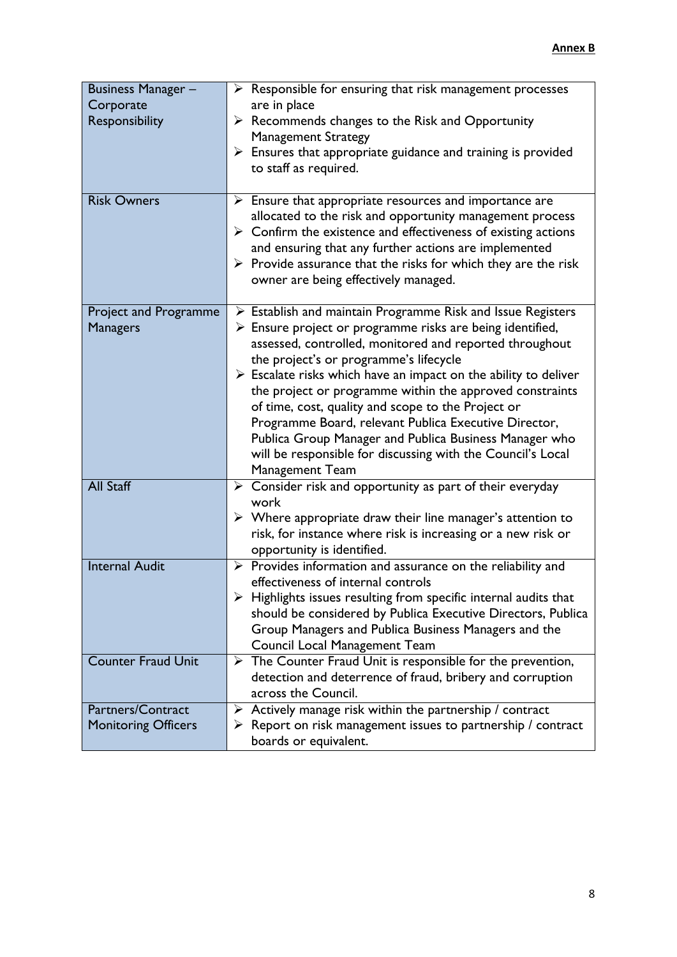| <b>Business Manager -</b>    | $\triangleright$ Responsible for ensuring that risk management processes                                                                   |
|------------------------------|--------------------------------------------------------------------------------------------------------------------------------------------|
| Corporate                    | are in place                                                                                                                               |
| Responsibility               | $\triangleright$ Recommends changes to the Risk and Opportunity                                                                            |
|                              | <b>Management Strategy</b>                                                                                                                 |
|                              | $\triangleright$ Ensures that appropriate guidance and training is provided                                                                |
|                              | to staff as required.                                                                                                                      |
|                              |                                                                                                                                            |
| <b>Risk Owners</b>           | $\triangleright$ Ensure that appropriate resources and importance are                                                                      |
|                              | allocated to the risk and opportunity management process                                                                                   |
|                              | $\triangleright$ Confirm the existence and effectiveness of existing actions                                                               |
|                              | and ensuring that any further actions are implemented                                                                                      |
|                              | $\triangleright$ Provide assurance that the risks for which they are the risk                                                              |
|                              | owner are being effectively managed.                                                                                                       |
|                              |                                                                                                                                            |
| <b>Project and Programme</b> | $\triangleright$ Establish and maintain Programme Risk and Issue Registers                                                                 |
| <b>Managers</b>              | $\triangleright$ Ensure project or programme risks are being identified,                                                                   |
|                              | assessed, controlled, monitored and reported throughout                                                                                    |
|                              | the project's or programme's lifecycle                                                                                                     |
|                              | $\triangleright$ Escalate risks which have an impact on the ability to deliver<br>the project or programme within the approved constraints |
|                              | of time, cost, quality and scope to the Project or                                                                                         |
|                              | Programme Board, relevant Publica Executive Director,                                                                                      |
|                              | Publica Group Manager and Publica Business Manager who                                                                                     |
|                              | will be responsible for discussing with the Council's Local                                                                                |
|                              | Management Team                                                                                                                            |
| <b>All Staff</b>             | $\triangleright$ Consider risk and opportunity as part of their everyday                                                                   |
|                              | work                                                                                                                                       |
|                              | $\triangleright$ Where appropriate draw their line manager's attention to                                                                  |
|                              | risk, for instance where risk is increasing or a new risk or                                                                               |
|                              | opportunity is identified.                                                                                                                 |
| <b>Internal Audit</b>        | $\triangleright$ Provides information and assurance on the reliability and                                                                 |
|                              | effectiveness of internal controls                                                                                                         |
|                              | $\triangleright$ Highlights issues resulting from specific internal audits that                                                            |
|                              | should be considered by Publica Executive Directors, Publica                                                                               |
|                              | Group Managers and Publica Business Managers and the                                                                                       |
|                              | Council Local Management Team                                                                                                              |
| <b>Counter Fraud Unit</b>    | $\triangleright$ The Counter Fraud Unit is responsible for the prevention,                                                                 |
|                              | detection and deterrence of fraud, bribery and corruption                                                                                  |
|                              | across the Council.                                                                                                                        |
| Partners/Contract            | $\triangleright$ Actively manage risk within the partnership / contract                                                                    |
| <b>Monitoring Officers</b>   | $\triangleright$ Report on risk management issues to partnership / contract                                                                |
|                              | boards or equivalent.                                                                                                                      |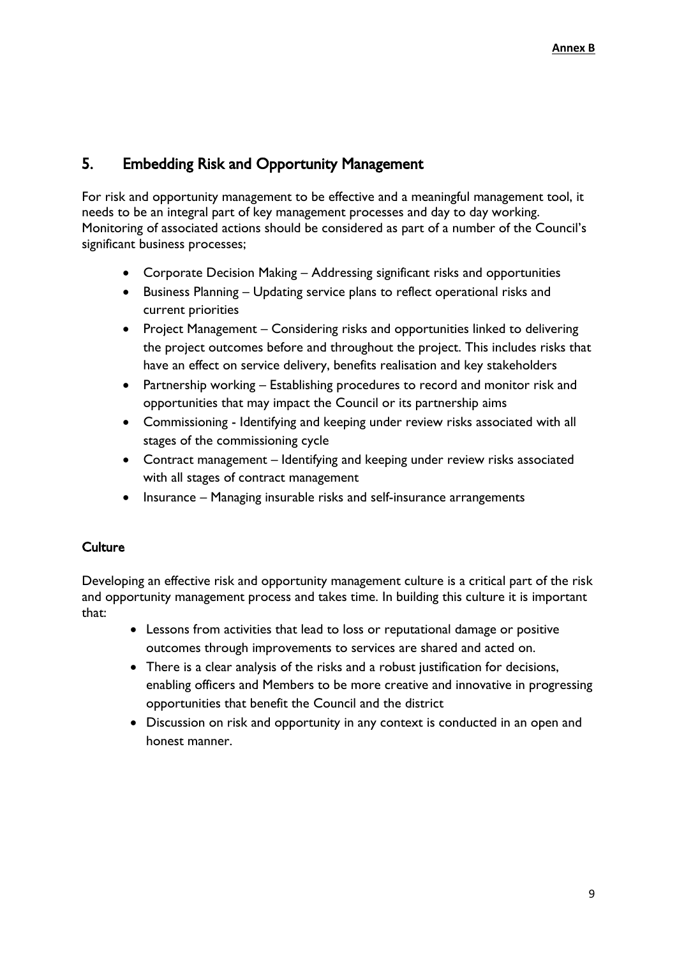## <span id="page-8-0"></span>5. Embedding Risk and Opportunity Management

For risk and opportunity management to be effective and a meaningful management tool, it needs to be an integral part of key management processes and day to day working. Monitoring of associated actions should be considered as part of a number of the Council's significant business processes;

- Corporate Decision Making Addressing significant risks and opportunities
- Business Planning Updating service plans to reflect operational risks and current priorities
- Project Management Considering risks and opportunities linked to delivering the project outcomes before and throughout the project. This includes risks that have an effect on service delivery, benefits realisation and key stakeholders
- Partnership working Establishing procedures to record and monitor risk and opportunities that may impact the Council or its partnership aims
- Commissioning Identifying and keeping under review risks associated with all stages of the commissioning cycle
- Contract management Identifying and keeping under review risks associated with all stages of contract management
- Insurance Managing insurable risks and self-insurance arrangements

#### <span id="page-8-1"></span>**Culture**

Developing an effective risk and opportunity management culture is a critical part of the risk and opportunity management process and takes time. In building this culture it is important that:

- Lessons from activities that lead to loss or reputational damage or positive outcomes through improvements to services are shared and acted on.
- There is a clear analysis of the risks and a robust justification for decisions, enabling officers and Members to be more creative and innovative in progressing opportunities that benefit the Council and the district
- Discussion on risk and opportunity in any context is conducted in an open and honest manner.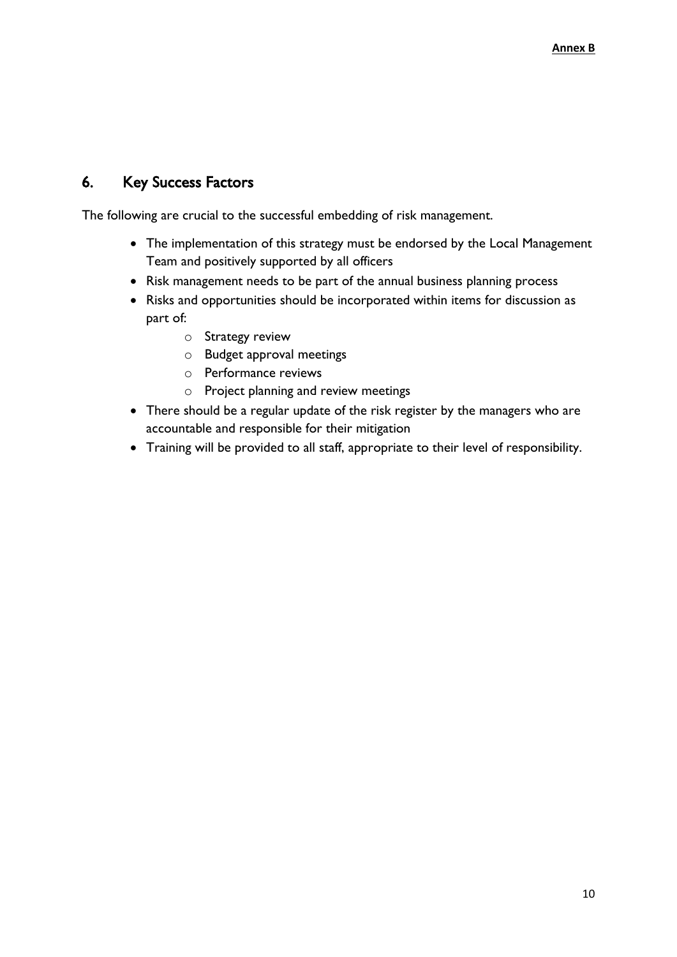## <span id="page-9-0"></span>6. Key Success Factors

The following are crucial to the successful embedding of risk management.

- The implementation of this strategy must be endorsed by the Local Management Team and positively supported by all officers
- Risk management needs to be part of the annual business planning process
- Risks and opportunities should be incorporated within items for discussion as part of:
	- o Strategy review
	- o Budget approval meetings
	- o Performance reviews
	- o Project planning and review meetings
- There should be a regular update of the risk register by the managers who are accountable and responsible for their mitigation
- Training will be provided to all staff, appropriate to their level of responsibility.